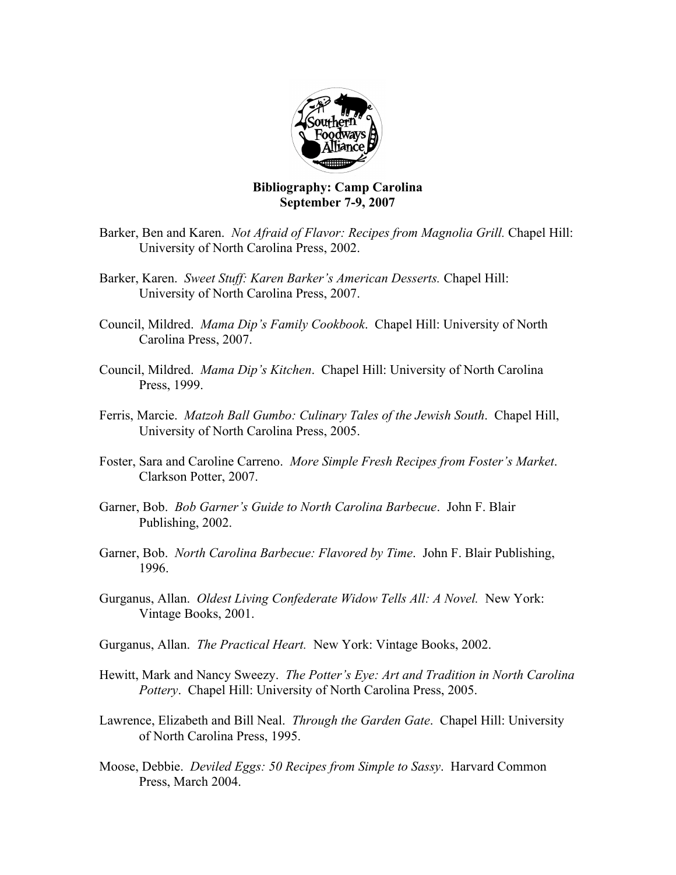

## Bibliography: Camp Carolina September 7-9, 2007

- Barker, Ben and Karen. *Not Afraid of Flavor: Recipes from Magnolia Grill.* Chapel Hill: University of North Carolina Press, 2002.
- Barker, Karen. *Sweet Stuff: Karen Barker's American Desserts.* Chapel Hill: University of North Carolina Press, 2007.
- Council, Mildred. *Mama Dip's Family Cookbook*. Chapel Hill: University of North Carolina Press, 2007.
- Council, Mildred. *Mama Dip's Kitchen*. Chapel Hill: University of North Carolina Press, 1999.
- Ferris, Marcie. *Matzoh Ball Gumbo: Culinary Tales of the Jewish South*. Chapel Hill, University of North Carolina Press, 2005.
- Foster, Sara and Caroline Carreno. *More Simple Fresh Recipes from Foster's Market*. Clarkson Potter, 2007.
- Garner, Bob. *Bob Garner's Guide to North Carolina Barbecue*. John F. Blair Publishing, 2002.
- Garner, Bob. *North Carolina Barbecue: Flavored by Time*. John F. Blair Publishing, 1996.
- Gurganus, Allan. *Oldest Living Confederate Widow Tells All: A Novel.* New York: Vintage Books, 2001.
- Gurganus, Allan. *The Practical Heart.* New York: Vintage Books, 2002.
- Hewitt, Mark and Nancy Sweezy. *The Potter's Eye: Art and Tradition in North Carolina Pottery*. Chapel Hill: University of North Carolina Press, 2005.
- Lawrence, Elizabeth and Bill Neal. *Through the Garden Gate*. Chapel Hill: University of North Carolina Press, 1995.
- Moose, Debbie. *Deviled Eggs: 50 Recipes from Simple to Sassy*. Harvard Common Press, March 2004.